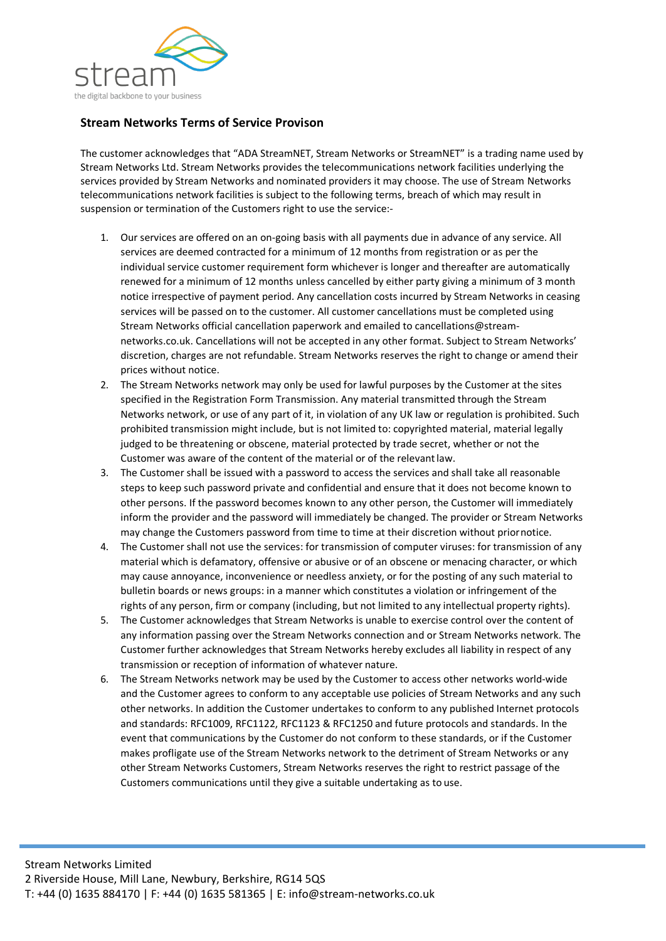

## **Stream Networks Terms of Service Provison**

The customer acknowledges that "ADA StreamNET, Stream Networks or StreamNET" is a trading name used by Stream Networks Ltd. Stream Networks provides the telecommunications network facilities underlying the services provided by Stream Networks and nominated providers it may choose. The use of Stream Networks telecommunications network facilities is subject to the following terms, breach of which may result in suspension or termination of the Customers right to use the service:-

- 1. Our services are offered on an on-going basis with all payments due in advance of any service. All services are deemed contracted for a minimum of 12 months from registration or as per the individual service customer requirement form whichever is longer and thereafter are automatically renewed for a minimum of 12 months unless cancelled by either party giving a minimum of 3 month notice irrespective of payment period. Any cancellation costs incurred by Stream Networks in ceasing services will be passed on to the customer. All customer cancellations must be completed using Stream Networks official cancellation paperwork and emailed to cancellations@streamnetworks.co.uk. Cancellations will not be accepted in any other format. Subject to Stream Networks' discretion, charges are not refundable. Stream Networks reserves the right to change or amend their prices without notice.
- 2. The Stream Networks network may only be used for lawful purposes by the Customer at the sites specified in the Registration Form Transmission. Any material transmitted through the Stream Networks network, or use of any part of it, in violation of any UK law or regulation is prohibited. Such prohibited transmission might include, but is not limited to: copyrighted material, material legally judged to be threatening or obscene, material protected by trade secret, whether or not the Customer was aware of the content of the material or of the relevantlaw.
- 3. The Customer shall be issued with a password to access the services and shall take all reasonable steps to keep such password private and confidential and ensure that it does not become known to other persons. If the password becomes known to any other person, the Customer will immediately inform the provider and the password will immediately be changed. The provider or Stream Networks may change the Customers password from time to time at their discretion without priornotice.
- 4. The Customer shall not use the services: for transmission of computer viruses: for transmission of any material which is defamatory, offensive or abusive or of an obscene or menacing character, or which may cause annoyance, inconvenience or needless anxiety, or for the posting of any such material to bulletin boards or news groups: in a manner which constitutes a violation or infringement of the rights of any person, firm or company (including, but not limited to any intellectual property rights).
- 5. The Customer acknowledges that Stream Networks is unable to exercise control over the content of any information passing over the Stream Networks connection and or Stream Networks network. The Customer further acknowledges that Stream Networks hereby excludes all liability in respect of any transmission or reception of information of whatever nature.
- 6. The Stream Networks network may be used by the Customer to access other networks world-wide and the Customer agrees to conform to any acceptable use policies of Stream Networks and any such other networks. In addition the Customer undertakes to conform to any published Internet protocols and standards: RFC1009, RFC1122, RFC1123 & RFC1250 and future protocols and standards. In the event that communications by the Customer do not conform to these standards, or if the Customer makes profligate use of the Stream Networks network to the detriment of Stream Networks or any other Stream Networks Customers, Stream Networks reserves the right to restrict passage of the Customers communications until they give a suitable undertaking as to use.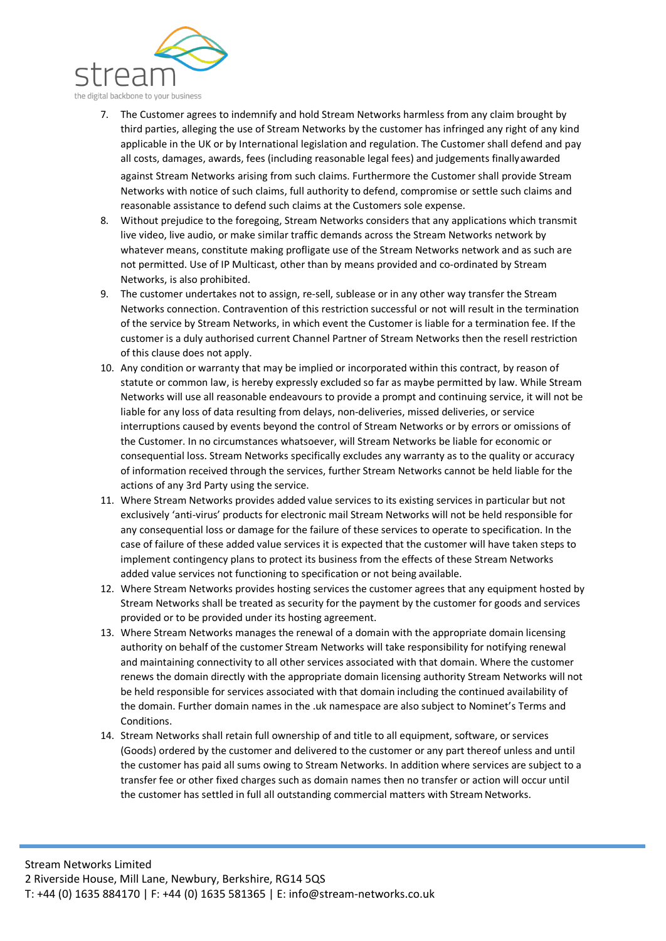

- 7. The Customer agrees to indemnify and hold Stream Networks harmless from any claim brought by third parties, alleging the use of Stream Networks by the customer has infringed any right of any kind applicable in the UK or by International legislation and regulation. The Customer shall defend and pay all costs, damages, awards, fees (including reasonable legal fees) and judgements finallyawarded against Stream Networks arising from such claims. Furthermore the Customer shall provide Stream Networks with notice of such claims, full authority to defend, compromise or settle such claims and reasonable assistance to defend such claims at the Customers sole expense.
- 8. Without prejudice to the foregoing, Stream Networks considers that any applications which transmit live video, live audio, or make similar traffic demands across the Stream Networks network by whatever means, constitute making profligate use of the Stream Networks network and as such are not permitted. Use of IP Multicast, other than by means provided and co-ordinated by Stream Networks, is also prohibited.
- 9. The customer undertakes not to assign, re-sell, sublease or in any other way transfer the Stream Networks connection. Contravention of this restriction successful or not will result in the termination of the service by Stream Networks, in which event the Customer is liable for a termination fee. If the customer is a duly authorised current Channel Partner of Stream Networks then the resell restriction of this clause does not apply.
- 10. Any condition or warranty that may be implied or incorporated within this contract, by reason of statute or common law, is hereby expressly excluded so far as maybe permitted by law. While Stream Networks will use all reasonable endeavours to provide a prompt and continuing service, it will not be liable for any loss of data resulting from delays, non-deliveries, missed deliveries, or service interruptions caused by events beyond the control of Stream Networks or by errors or omissions of the Customer. In no circumstances whatsoever, will Stream Networks be liable for economic or consequential loss. Stream Networks specifically excludes any warranty as to the quality or accuracy of information received through the services, further Stream Networks cannot be held liable for the actions of any 3rd Party using the service.
- 11. Where Stream Networks provides added value services to its existing services in particular but not exclusively 'anti-virus' products for electronic mail Stream Networks will not be held responsible for any consequential loss or damage for the failure of these services to operate to specification. In the case of failure of these added value services it is expected that the customer will have taken steps to implement contingency plans to protect its business from the effects of these Stream Networks added value services not functioning to specification or not being available.
- 12. Where Stream Networks provides hosting services the customer agrees that any equipment hosted by Stream Networks shall be treated as security for the payment by the customer for goods and services provided or to be provided under its hosting agreement.
- 13. Where Stream Networks manages the renewal of a domain with the appropriate domain licensing authority on behalf of the customer Stream Networks will take responsibility for notifying renewal and maintaining connectivity to all other services associated with that domain. Where the customer renews the domain directly with the appropriate domain licensing authority Stream Networks will not be held responsible for services associated with that domain including the continued availability of the domain. Further domain names in the .uk namespace are also subject to Nominet's Terms and **Conditions**
- 14. Stream Networks shall retain full ownership of and title to all equipment, software, or services (Goods) ordered by the customer and delivered to the customer or any part thereof unless and until the customer has paid all sums owing to Stream Networks. In addition where services are subject to a transfer fee or other fixed charges such as domain names then no transfer or action will occur until the customer has settled in full all outstanding commercial matters with Stream Networks.